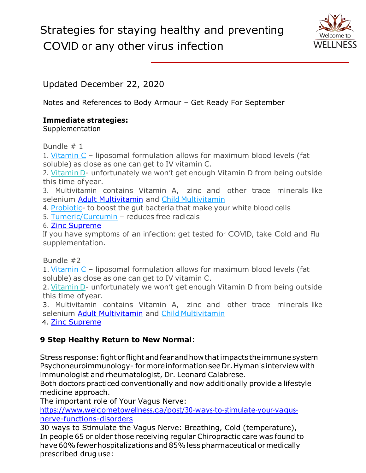## Strategies for staying healthy and preventing COVID or any other virus infection



Updated December 22, 2020

Notes and References to Body Armour – Get Ready For September

## **Immediate strategies:**

Supplementation

Bundle # 1

1. [Vitamin C](https://www.welcometowellness.ca/product-page/liposomal-vitamin-c) – liposomal formulation allows for maximum blood levels (fat soluble) as close as one can get to IV vitamin C.

2. [Vitamin](https://www.welcometowellness.ca/product-page/vitamin-d3-drops) D- unfortunately we won't get enough Vitamin D from being outside this time ofyear.

3. Multivitamin contains Vitamin A, zinc and other trace minerals like selenium [Adult Multivitamin](https://www.welcometowellness.ca/product-page/daily-multivitamin) and [Child](https://www.welcometowellness.ca/so/daN3W3tkQ/c?w=ye_1FISUxi8yONcp2VOjNHZ0qjL5C5UQYYLmZcZZQCI.eyJ1IjoiaHR0cHM6Ly93d3cud2VsY29tZXRvd2VsbG5lc3MuY2EvcHJvZHVjdC1wYWdlL3ZpdGEta2lkcyIsInIiOiJkYzUzNTQ0Yy0zYThlLTRjOTktODZmMi0wYzY2YzBkNWZjNzIiLCJtIjoibWFpbCIsImMiOiJkODVmNzY5Ni1hNzYwLTRhZWItODQ1ZC01NjkwYjNhMWQ0MjkifQ) Multivitamin

4. [Probiotic-](https://www.welcometowellness.ca/product-page/probiotic-sufficiency) to boost the gut bacteria that make your white blood cells

5. [Tumeric/Curcumin](https://www.welcometowellness.ca/product-page/turmeric-120vcaps) – reduces free radicals

6. [Zinc Supreme](https://www.welcometowellness.ca/product-page/zinc-supreme)

If you have symptoms of an infection: get tested for COVID, take Cold and Flu supplementation.

Bundle #2

1. [Vitamin C](https://www.welcometowellness.ca/product-page/liposomal-vitamin-c) – liposomal formulation allows for maximum blood levels (fat soluble) as close as one can get to IV vitamin C.

2. [Vitamin](https://www.welcometowellness.ca/product-page/vitamin-d3-drops) D- unfortunately we won't get enough Vitamin D from being outside this time ofyear.

3. Multivitamin contains Vitamin A, zinc and other trace minerals like selenium [Adult Multivitamin](https://www.welcometowellness.ca/product-page/daily-multivitamin) and [Child](https://www.welcometowellness.ca/so/daN3W3tkQ/c?w=ye_1FISUxi8yONcp2VOjNHZ0qjL5C5UQYYLmZcZZQCI.eyJ1IjoiaHR0cHM6Ly93d3cud2VsY29tZXRvd2VsbG5lc3MuY2EvcHJvZHVjdC1wYWdlL3ZpdGEta2lkcyIsInIiOiJkYzUzNTQ0Yy0zYThlLTRjOTktODZmMi0wYzY2YzBkNWZjNzIiLCJtIjoibWFpbCIsImMiOiJkODVmNzY5Ni1hNzYwLTRhZWItODQ1ZC01NjkwYjNhMWQ0MjkifQ) Multivitamin

4. [Zinc Supreme](https://www.welcometowellness.ca/product-page/zinc-supreme)

## **9 Step Healthy Return to New Normal**:

Stress response: fight or flight and fear and how that impacts the immune system Psychoneuroimmunology- formoreinformationseeDr.Hyman'sinterview with immunologist and rheumatologist, Dr. Leonard Calabrese.

Both doctors practiced conventionally and now additionally provide a lifestyle medicine approach.

The important role of Your Vagus Nerve:

[https://www.welcometowellness.ca/post/30-ways-to-stimulate-your-vagus](https://www.welcometowellness.ca/post/30-ways-to-stimulate-your-vagus-nerve-functions-disorders)[nerve-functions-disorders](https://www.welcometowellness.ca/post/30-ways-to-stimulate-your-vagus-nerve-functions-disorders)

30 ways to Stimulate the Vagus Nerve: Breathing, Cold (temperature), In people 65 or older those receiving regular Chiropractic care was found to have 60% fewer hospitalizations and 85% less pharmaceutical or medically prescribed drug use: